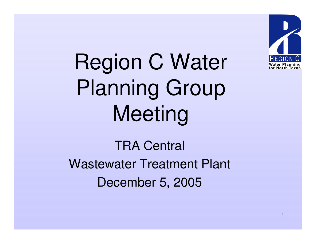

Region C Water Planning Group Meeting

TRA Central Wastewater Treatment Plant December 5, 2005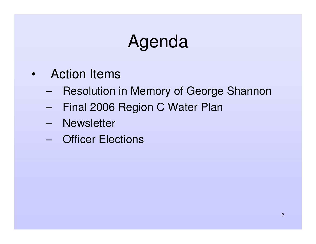## Agenda

- Action Items
	- –- Resolution in Memory of George Shannon
	- –Final 2006 Region C Water Plan
	- –**Newsletter**
	- Officer Elections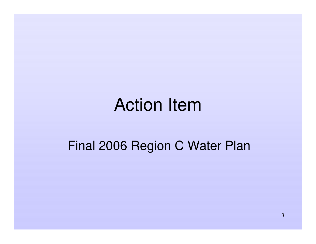#### Action Item

#### Final 2006 Region C Water Plan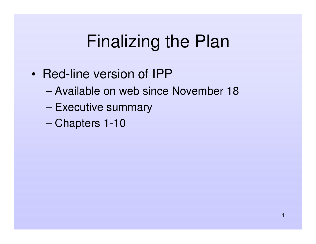## Finalizing the Plan

- Red-line version of IPP
	- Available on web since November 18
	- –– Executive summary
	- –Chapters 1-10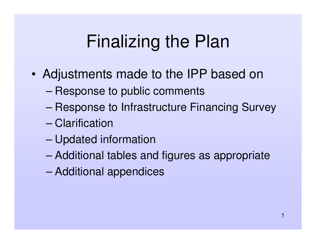## Finalizing the Plan

- • Adjustments made to the IPP based on
	- –Response to public comments
	- –Response to Infrastructure Financing Survey
	- Clarification
	- –Updated information
	- –Additional tables and figures as appropriate
	- –Additional appendices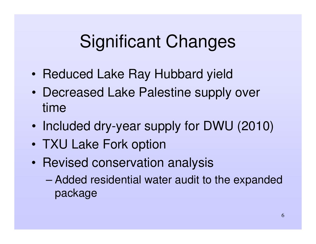- •• Reduced Lake Ray Hubbard yield
- • Decreased Lake Palestine supply over time
- •• Included dry-year supply for DWU (2010)
- TXU Lake Fork option
- $\bullet$ • Revised conservation analysis
	- – Added residential water audit to the expanded package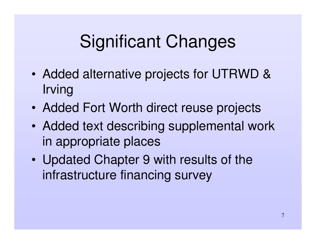- • Added alternative projects for UTRWD & Irving
- $\bullet$ Added Fort Worth direct reuse projects
- • Added text describing supplemental work in appropriate places
- $\bullet$  Updated Chapter 9 with results of the infrastructure financing survey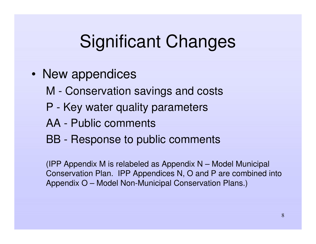- New appendices
	- M Conservation savings and costs
	- P Key water quality parameters
	- AA Public comments
	- BB Response to public comments

(IPP Appendix M is relabeled as Appendix N – Model Municipal Conservation Plan. IPP Appendices N, O and P are combined into Appendix O – Model Non-Municipal Conservation Plans.)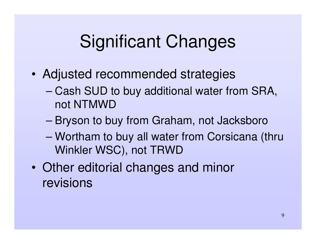- • Adjusted recommended strategies
	- Cash SUD to buy additional water from SRA, not NTMWD
	- –Bryson to buy from Graham, not Jacksboro
	- Wortham to buy all water from Corsicana (thru Winkler WSC), not TRWD
- $\bullet$  Other editorial changes and minor revisions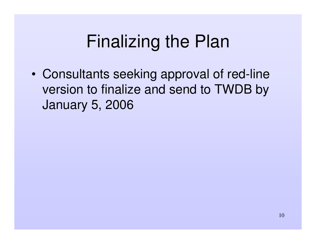### Finalizing the Plan

• Consultants seeking approval of red-line version to finalize and send to TWDB by January 5, 2006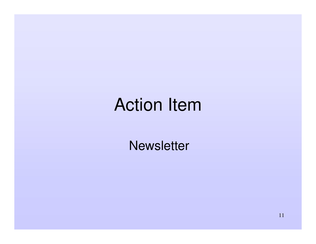## Action Item

**Newsletter**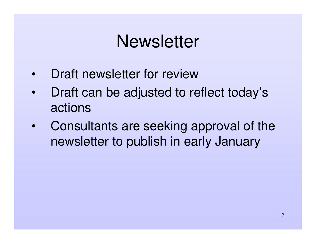#### **Newsletter**

- •Draft newsletter for review
- • Draft can be adjusted to reflect today's actions
- • Consultants are seeking approval of the newsletter to publish in early January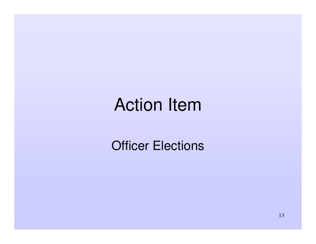#### Action Item

**Officer Elections**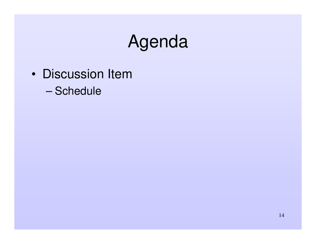## Agenda

- Discussion Item
	- Schedule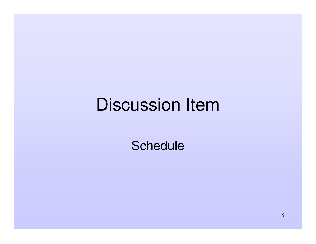## Discussion Item

**Schedule**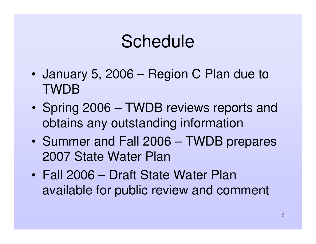### Schedule

- • January 5, 2006 – Region C Plan due to TWDB
- $\bullet$ • Spring 2006 – TWDB reviews reports and obtains any outstanding information
- $\bullet$ • Summer and Fall 2006 – TWDB prepares 2007 State Water Plan
- Fall 2006 Draft State Water Plan available for public review and comment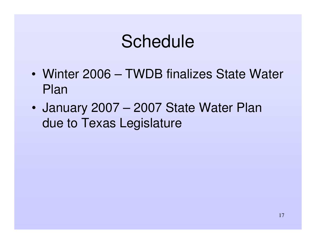### Schedule

- Winter 2006 TWDB finalizes State Water Plan
- $\bullet$  January 2007 – 2007 State Water Plan due to Texas Legislature